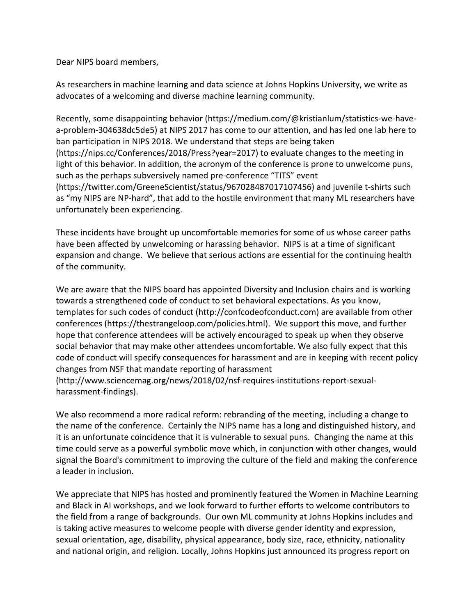Dear NIPS board members,

As researchers in machine learning and data science at Johns Hopkins University, we write as advocates of a welcoming and diverse machine learning community.

Recently, some disappointing behavior (https://medium.com/@kristianlum/statistics-we-havea-problem-304638dc5de5) at NIPS 2017 has come to our attention, and has led one lab here to ban participation in NIPS 2018. We understand that steps are being taken (https://nips.cc/Conferences/2018/Press?year=2017) to evaluate changes to the meeting in light of this behavior. In addition, the acronym of the conference is prone to unwelcome puns, such as the perhaps subversively named pre-conference "TITS" event (https://twitter.com/GreeneScientist/status/967028487017107456) and juvenile t-shirts such as "my NIPS are NP-hard", that add to the hostile environment that many ML researchers have unfortunately been experiencing.

These incidents have brought up uncomfortable memories for some of us whose career paths have been affected by unwelcoming or harassing behavior. NIPS is at a time of significant expansion and change. We believe that serious actions are essential for the continuing health of the community.

We are aware that the NIPS board has appointed Diversity and Inclusion chairs and is working towards a strengthened code of conduct to set behavioral expectations. As you know, templates for such codes of conduct (http://confcodeofconduct.com) are available from other conferences (https://thestrangeloop.com/policies.html). We support this move, and further hope that conference attendees will be actively encouraged to speak up when they observe social behavior that may make other attendees uncomfortable. We also fully expect that this code of conduct will specify consequences for harassment and are in keeping with recent policy changes from NSF that mandate reporting of harassment

(http://www.sciencemag.org/news/2018/02/nsf-requires-institutions-report-sexualharassment-findings).

We also recommend a more radical reform: rebranding of the meeting, including a change to the name of the conference. Certainly the NIPS name has a long and distinguished history, and it is an unfortunate coincidence that it is vulnerable to sexual puns. Changing the name at this time could serve as a powerful symbolic move which, in conjunction with other changes, would signal the Board's commitment to improving the culture of the field and making the conference a leader in inclusion.

We appreciate that NIPS has hosted and prominently featured the Women in Machine Learning and Black in AI workshops, and we look forward to further efforts to welcome contributors to the field from a range of backgrounds. Our own ML community at Johns Hopkins includes and is taking active measures to welcome people with diverse gender identity and expression, sexual orientation, age, disability, physical appearance, body size, race, ethnicity, nationality and national origin, and religion. Locally, Johns Hopkins just announced its progress report on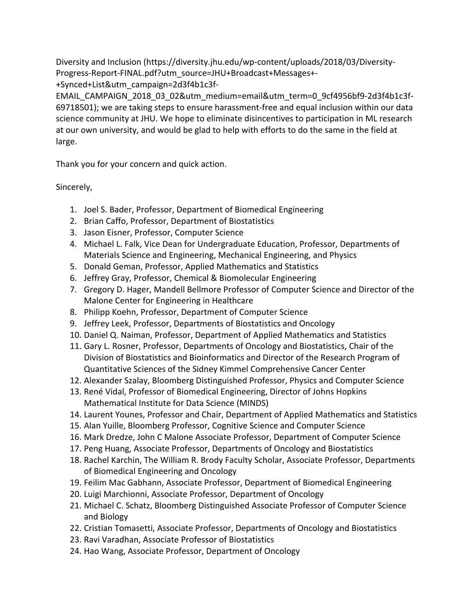Diversity and Inclusion (https://diversity.jhu.edu/wp-content/uploads/2018/03/Diversity-Progress-Report-FINAL.pdf?utm\_source=JHU+Broadcast+Messages+- +Synced+List&utm\_campaign=2d3f4b1c3f-

EMAIL\_CAMPAIGN\_2018\_03\_02&utm\_medium=email&utm\_term=0\_9cf4956bf9-2d3f4b1c3f-69718501); we are taking steps to ensure harassment-free and equal inclusion within our data science community at JHU. We hope to eliminate disincentives to participation in ML research at our own university, and would be glad to help with efforts to do the same in the field at large.

Thank you for your concern and quick action.

Sincerely,

- 1. Joel S. Bader, Professor, Department of Biomedical Engineering
- 2. Brian Caffo, Professor, Department of Biostatistics
- 3. Jason Eisner, Professor, Computer Science
- 4. Michael L. Falk, Vice Dean for Undergraduate Education, Professor, Departments of Materials Science and Engineering, Mechanical Engineering, and Physics
- 5. Donald Geman, Professor, Applied Mathematics and Statistics
- 6. Jeffrey Gray, Professor, Chemical & Biomolecular Engineering
- 7. Gregory D. Hager, Mandell Bellmore Professor of Computer Science and Director of the Malone Center for Engineering in Healthcare
- 8. Philipp Koehn, Professor, Department of Computer Science
- 9. Jeffrey Leek, Professor, Departments of Biostatistics and Oncology
- 10. Daniel Q. Naiman, Professor, Department of Applied Mathematics and Statistics
- 11. Gary L. Rosner, Professor, Departments of Oncology and Biostatistics, Chair of the Division of Biostatistics and Bioinformatics and Director of the Research Program of Quantitative Sciences of the Sidney Kimmel Comprehensive Cancer Center
- 12. Alexander Szalay, Bloomberg Distinguished Professor, Physics and Computer Science
- 13. René Vidal, Professor of Biomedical Engineering, Director of Johns Hopkins Mathematical Institute for Data Science (MINDS)
- 14. Laurent Younes, Professor and Chair, Department of Applied Mathematics and Statistics
- 15. Alan Yuille, Bloomberg Professor, Cognitive Science and Computer Science
- 16. Mark Dredze, John C Malone Associate Professor, Department of Computer Science
- 17. Peng Huang, Associate Professor, Departments of Oncology and Biostatistics
- 18. Rachel Karchin, The William R. Brody Faculty Scholar, Associate Professor, Departments of Biomedical Engineering and Oncology
- 19. Feilim Mac Gabhann, Associate Professor, Department of Biomedical Engineering
- 20. Luigi Marchionni, Associate Professor, Department of Oncology
- 21. Michael C. Schatz, Bloomberg Distinguished Associate Professor of Computer Science and Biology
- 22. Cristian Tomasetti, Associate Professor, Departments of Oncology and Biostatistics
- 23. Ravi Varadhan, Associate Professor of Biostatistics
- 24. Hao Wang, Associate Professor, Department of Oncology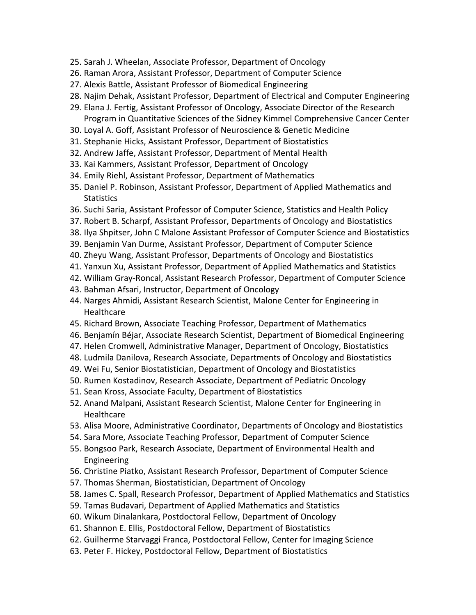- 25. Sarah J. Wheelan, Associate Professor, Department of Oncology
- 26. Raman Arora, Assistant Professor, Department of Computer Science
- 27. Alexis Battle, Assistant Professor of Biomedical Engineering
- 28. Najim Dehak, Assistant Professor, Department of Electrical and Computer Engineering
- 29. Elana J. Fertig, Assistant Professor of Oncology, Associate Director of the Research Program in Quantitative Sciences of the Sidney Kimmel Comprehensive Cancer Center
- 30. Loyal A. Goff, Assistant Professor of Neuroscience & Genetic Medicine
- 31. Stephanie Hicks, Assistant Professor, Department of Biostatistics
- 32. Andrew Jaffe, Assistant Professor, Department of Mental Health
- 33. Kai Kammers, Assistant Professor, Department of Oncology
- 34. Emily Riehl, Assistant Professor, Department of Mathematics
- 35. Daniel P. Robinson, Assistant Professor, Department of Applied Mathematics and Statistics
- 36. Suchi Saria, Assistant Professor of Computer Science, Statistics and Health Policy
- 37. Robert B. Scharpf, Assistant Professor, Departments of Oncology and Biostatistics
- 38. Ilya Shpitser, John C Malone Assistant Professor of Computer Science and Biostatistics
- 39. Benjamin Van Durme, Assistant Professor, Department of Computer Science
- 40. Zheyu Wang, Assistant Professor, Departments of Oncology and Biostatistics
- 41. Yanxun Xu, Assistant Professor, Department of Applied Mathematics and Statistics
- 42. William Gray-Roncal, Assistant Research Professor, Department of Computer Science
- 43. Bahman Afsari, Instructor, Department of Oncology
- 44. Narges Ahmidi, Assistant Research Scientist, Malone Center for Engineering in **Healthcare**
- 45. Richard Brown, Associate Teaching Professor, Department of Mathematics
- 46. Benjamín Béjar, Associate Research Scientist, Department of Biomedical Engineering
- 47. Helen Cromwell, Administrative Manager, Department of Oncology, Biostatistics
- 48. Ludmila Danilova, Research Associate, Departments of Oncology and Biostatistics
- 49. Wei Fu, Senior Biostatistician, Department of Oncology and Biostatistics
- 50. Rumen Kostadinov, Research Associate, Department of Pediatric Oncology
- 51. Sean Kross, Associate Faculty, Department of Biostatistics
- 52. Anand Malpani, Assistant Research Scientist, Malone Center for Engineering in **Healthcare**
- 53. Alisa Moore, Administrative Coordinator, Departments of Oncology and Biostatistics
- 54. Sara More, Associate Teaching Professor, Department of Computer Science
- 55. Bongsoo Park, Research Associate, Department of Environmental Health and Engineering
- 56. Christine Piatko, Assistant Research Professor, Department of Computer Science
- 57. Thomas Sherman, Biostatistician, Department of Oncology
- 58. James C. Spall, Research Professor, Department of Applied Mathematics and Statistics
- 59. Tamas Budavari, Department of Applied Mathematics and Statistics
- 60. Wikum Dinalankara, Postdoctoral Fellow, Department of Oncology
- 61. Shannon E. Ellis, Postdoctoral Fellow, Department of Biostatistics
- 62. Guilherme Starvaggi Franca, Postdoctoral Fellow, Center for Imaging Science
- 63. Peter F. Hickey, Postdoctoral Fellow, Department of Biostatistics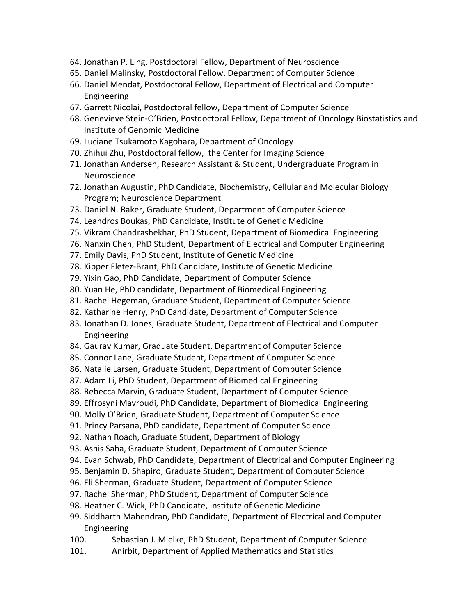- 64. Jonathan P. Ling, Postdoctoral Fellow, Department of Neuroscience
- 65. Daniel Malinsky, Postdoctoral Fellow, Department of Computer Science
- 66. Daniel Mendat, Postdoctoral Fellow, Department of Electrical and Computer Engineering
- 67. Garrett Nicolai, Postdoctoral fellow, Department of Computer Science
- 68. Genevieve Stein-O'Brien, Postdoctoral Fellow, Department of Oncology Biostatistics and Institute of Genomic Medicine
- 69. Luciane Tsukamoto Kagohara, Department of Oncology
- 70. Zhihui Zhu, Postdoctoral fellow, the Center for Imaging Science
- 71. Jonathan Andersen, Research Assistant & Student, Undergraduate Program in Neuroscience
- 72. Jonathan Augustin, PhD Candidate, Biochemistry, Cellular and Molecular Biology Program; Neuroscience Department
- 73. Daniel N. Baker, Graduate Student, Department of Computer Science
- 74. Leandros Boukas, PhD Candidate, Institute of Genetic Medicine
- 75. Vikram Chandrashekhar, PhD Student, Department of Biomedical Engineering
- 76. Nanxin Chen, PhD Student, Department of Electrical and Computer Engineering
- 77. Emily Davis, PhD Student, Institute of Genetic Medicine
- 78. Kipper Fletez-Brant, PhD Candidate, Institute of Genetic Medicine
- 79. Yixin Gao, PhD Candidate, Department of Computer Science
- 80. Yuan He, PhD candidate, Department of Biomedical Engineering
- 81. Rachel Hegeman, Graduate Student, Department of Computer Science
- 82. Katharine Henry, PhD Candidate, Department of Computer Science
- 83. Jonathan D. Jones, Graduate Student, Department of Electrical and Computer Engineering
- 84. Gaurav Kumar, Graduate Student, Department of Computer Science
- 85. Connor Lane, Graduate Student, Department of Computer Science
- 86. Natalie Larsen, Graduate Student, Department of Computer Science
- 87. Adam Li, PhD Student, Department of Biomedical Engineering
- 88. Rebecca Marvin, Graduate Student, Department of Computer Science
- 89. Effrosyni Mavroudi, PhD Candidate, Department of Biomedical Engineering
- 90. Molly O'Brien, Graduate Student, Department of Computer Science
- 91. Princy Parsana, PhD candidate, Department of Computer Science
- 92. Nathan Roach, Graduate Student, Department of Biology
- 93. Ashis Saha, Graduate Student, Department of Computer Science
- 94. Evan Schwab, PhD Candidate, Department of Electrical and Computer Engineering
- 95. Benjamin D. Shapiro, Graduate Student, Department of Computer Science
- 96. Eli Sherman, Graduate Student, Department of Computer Science
- 97. Rachel Sherman, PhD Student, Department of Computer Science
- 98. Heather C. Wick, PhD Candidate, Institute of Genetic Medicine
- 99. Siddharth Mahendran, PhD Candidate, Department of Electrical and Computer Engineering
- 100. Sebastian J. Mielke, PhD Student, Department of Computer Science
- 101. Anirbit, Department of Applied Mathematics and Statistics